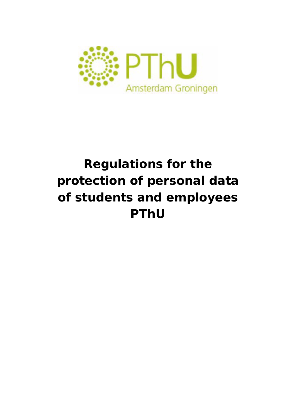

# **Regulations for the protection of personal data of students and employees PThU**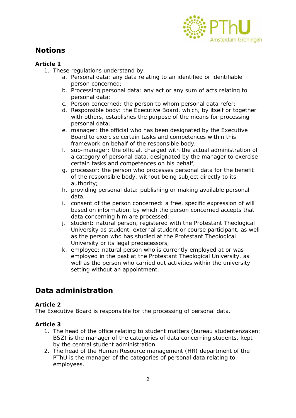

# *Notions*

## **Article 1**

- 1. These regulations understand by:
	- a. *Personal data*: any data relating to an identified or identifiable person concerned;
	- b. *Processing personal data*: any act or any sum of acts relating to personal data;
	- c. *Person concerned*: the person to whom personal data refer;
	- d. *Responsible body*: the Executive Board, which, by itself or together with others, establishes the purpose of the means for processing personal data;
	- e. *manager*: the official who has been designated by the Executive Board to exercise certain tasks and competences within this framework on behalf of the responsible body;
	- f. *sub*-manager: the official, charged with the actual administration of a category of personal data, designated by the manager to exercise certain tasks and competences on his behalf;
	- g. *processor*: the person who processes personal data for the benefit of the responsible body, without being subject directly to its authority;
	- h. *providing personal data*: publishing or making available personal data;
	- i. *consent of the person concerned*: a free, specific expression of will based on information, by which the person concerned accepts that data concerning him are processed;
	- j. *student*: natural person, registered with the Protestant Theological University as student, external student or course participant, as well as the person who has studied at the Protestant Theological University or its legal predecessors;
	- k. *employee*: natural person who is currently employed at or was employed in the past at the Protestant Theological University, as well as the person who carried out activities within the university setting without an appointment.

# *Data administration*

## **Article 2**

The Executive Board is responsible for the processing of personal data.

- 1. The head of the office relating to student matters (bureau studentenzaken: BSZ) is the manager of the categories of data concerning students, kept by the central student administration.
- 2. The head of the Human Resource management (HR) department of the PThU is the manager of the categories of personal data relating to employees.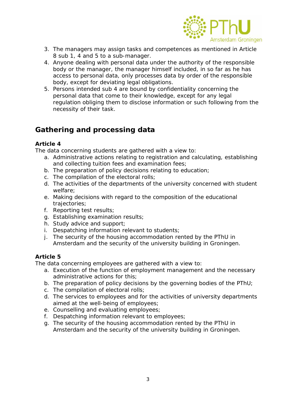

- 3. The managers may assign tasks and competences as mentioned in Article 8 sub 1, 4 and 5 to a sub-manager.
- 4. Anyone dealing with personal data under the authority of the responsible body or the manager, the manager himself included, in so far as he has access to personal data, only processes data by order of the responsible body, except for deviating legal obligations.
- 5. Persons intended sub 4 are bound by confidentiality concerning the personal data that come to their knowledge, except for any legal regulation obliging them to disclose information or such following from the necessity of their task.

# **Gathering and processing data**

## **Article 4**

The data concerning students are gathered with a view to:

- a. Administrative actions relating to registration and calculating, establishing and collecting tuition fees and examination fees;
- b. The preparation of policy decisions relating to education;
- c. The compilation of the electoral rolls;
- d. The activities of the departments of the university concerned with student welfare;
- e. Making decisions with regard to the composition of the educational trajectories;
- f. Reporting test results;
- g. Establishing examination results;
- h. Study advice and support;
- i. Despatching information relevant to students;
- j. The security of the housing accommodation rented by the PThU in Amsterdam and the security of the university building in Groningen.

## **Article 5**

The data concerning employees are gathered with a view to:

- a. Execution of the function of employment management and the necessary administrative actions for this;
- b. The preparation of policy decisions by the governing bodies of the PThU;
- c. The compilation of electoral rolls;
- d. The services to employees and for the activities of university departments aimed at the well-being of employees;
- e. Counselling and evaluating employees;
- f. Despatching information relevant to employees;
- g. The security of the housing accommodation rented by the PThU in Amsterdam and the security of the university building in Groningen.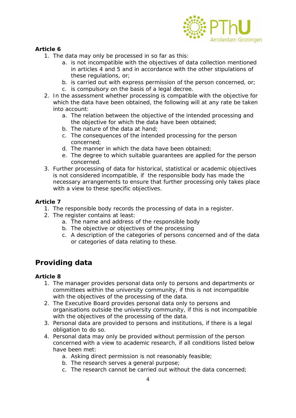

## **Article 6**

- 1. The data may only be processed in so far as this:
	- a. is not incompatible with the objectives of data collection mentioned in articles 4 and 5 and in accordance with the other stipulations of these regulations, or;
	- b. is carried out with express permission of the person concerned, or;
	- c. is compulsory on the basis of a legal decree.
- 2. In the assessment whether processing is compatible with the objective for which the data have been obtained, the following will at any rate be taken into account:
	- a. The relation between the objective of the intended processing and the objective for which the data have been obtained;
	- b. The nature of the data at hand;
	- c. The consequences of the intended processing for the person concerned;
	- d. The manner in which the data have been obtained;
	- e. The degree to which suitable guarantees are applied for the person concerned.
- 3. Further processing of data for historical, statistical or academic objectives is not considered incompatible, if the responsible body has made the necessary arrangements to ensure that further processing only takes place with a view to these specific objectives.

#### **Article 7**

- 1. The responsible body records the processing of data in a register.
- 2. The register contains at least:
	- a. The name and address of the responsible body
	- b. The objective or objectives of the processing
	- c. A description of the categories of persons concerned and of the data or categories of data relating to these.

# *Providing data*

- 1. The manager provides personal data only to persons and departments or committees within the university community, if this is not incompatible with the objectives of the processing of the data.
- 2. The Executive Board provides personal data only to persons and organisations outside the university community, if this is not incompatible with the objectives of the processing of the data.
- 3. Personal data are provided to persons and institutions, if there is a legal obligation to do so.
- 4. Personal data may only be provided without permission of the person concerned with a view to academic research, if all conditions listed below have been met:
	- a. Asking direct permission is not reasonably feasible;
	- b. The research serves a general purpose;
	- c. The research cannot be carried out without the data concerned;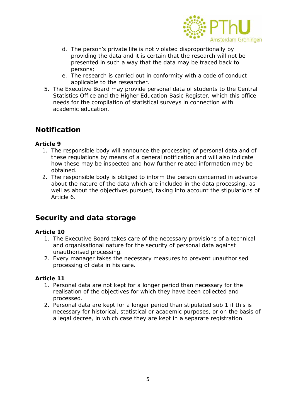

- d. The person's private life is not violated disproportionally by providing the data and it is certain that the research will not be presented in such a way that the data may be traced back to persons;
- e. The research is carried out in conformity with a code of conduct applicable to the researcher.
- 5. The Executive Board may provide personal data of students to the Central Statistics Office and the Higher Education Basic Register, which this office needs for the compilation of statistical surveys in connection with academic education.

## *Notification*

## **Article 9**

- 1. The responsible body will announce the processing of personal data and of these regulations by means of a general notification and will also indicate how these may be inspected and how further related information may be obtained.
- 2. The responsible body is obliged to inform the person concerned in advance about the nature of the data which are included in the data processing, as well as about the objectives pursued, taking into account the stipulations of Article 6.

## *Security and data storage*

## **Article 10**

- 1. The Executive Board takes care of the necessary provisions of a technical and organisational nature for the security of personal data against unauthorised processing.
- 2. Every manager takes the necessary measures to prevent unauthorised processing of data in his care.

- 1. Personal data are not kept for a longer period than necessary for the realisation of the objectives for which they have been collected and processed.
- 2. Personal data are kept for a longer period than stipulated sub 1 if this is necessary for historical, statistical or academic purposes, or on the basis of a legal decree, in which case they are kept in a separate registration.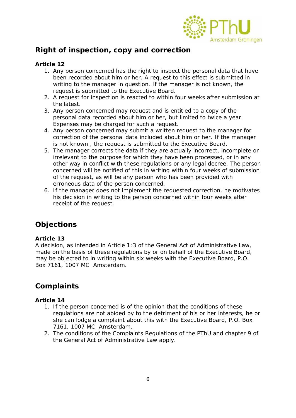

# *Right of inspection, copy and correction*

## **Article 12**

- 1. Any person concerned has the right to inspect the personal data that have been recorded about him or her. A request to this effect is submitted in writing to the manager in question. If the manager is not known, the request is submitted to the Executive Board.
- 2. A request for inspection is reacted to within four weeks after submission at the latest.
- 3. Any person concerned may request and is entitled to a copy of the personal data recorded about him or her, but limited to twice a year. Expenses may be charged for such a request.
- 4. Any person concerned may submit a written request to the manager for correction of the personal data included about him or her. If the manager is not known , the request is submitted to the Executive Board.
- 5. The manager corrects the data if they are actually incorrect, incomplete or irrelevant to the purpose for which they have been processed, or in any other way in conflict with these regulations or any legal decree. The person concerned will be notified of this in writing within four weeks of submission of the request, as will be any person who has been provided with erroneous data of the person concerned.
- 6. If the manager does not implement the requested correction, he motivates his decision in writing to the person concerned within four weeks after receipt of the request.

# *Objections*

## **Article 13**

A decision, as intended in Article 1:3 of the General Act of Administrative Law, made on the basis of these regulations by or on behalf of the Executive Board, may be objected to in writing within six weeks with the Executive Board, P.O. Box 7161, 1007 MC Amsterdam.

# *Complaints*

- 1. If the person concerned is of the opinion that the conditions of these regulations are not abided by to the detriment of his or her interests, he or she can lodge a complaint about this with the Executive Board, P.O. Box 7161, 1007 MC Amsterdam.
- 2. The conditions of the Complaints Regulations of the PThU and chapter 9 of the General Act of Administrative Law apply.